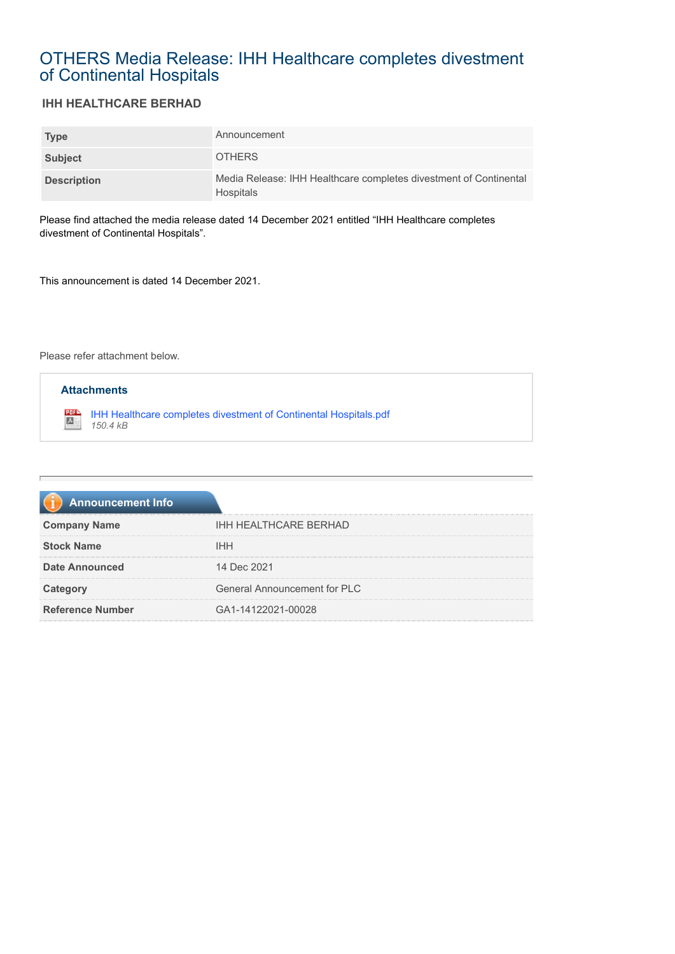## OTHERS Media Release: IHH Healthcare completes divestment of Continental Hospitals

## **IHH HEALTHCARE BERHAD**

| <b>Type</b>        | Announcement                                                                          |
|--------------------|---------------------------------------------------------------------------------------|
| Subject            | <b>OTHERS</b>                                                                         |
| <b>Description</b> | Media Release: IHH Healthcare completes divestment of Continental<br><b>Hospitals</b> |

Please find attached the media release dated 14 December 2021 entitled "IHH Healthcare completes divestment of Continental Hospitals".

This announcement is dated 14 December 2021.

Please refer attachment below.



| <b>Announcement Info</b> |                                     |
|--------------------------|-------------------------------------|
| <b>Company Name</b>      | <b>IHH HEALTHCARE BERHAD</b>        |
| <b>Stock Name</b>        | <b>IHH</b>                          |
| <b>Date Announced</b>    | 14 Dec 2021                         |
| Category                 | <b>General Announcement for PLC</b> |
| <b>Reference Number</b>  | GA1-14122021-00028                  |